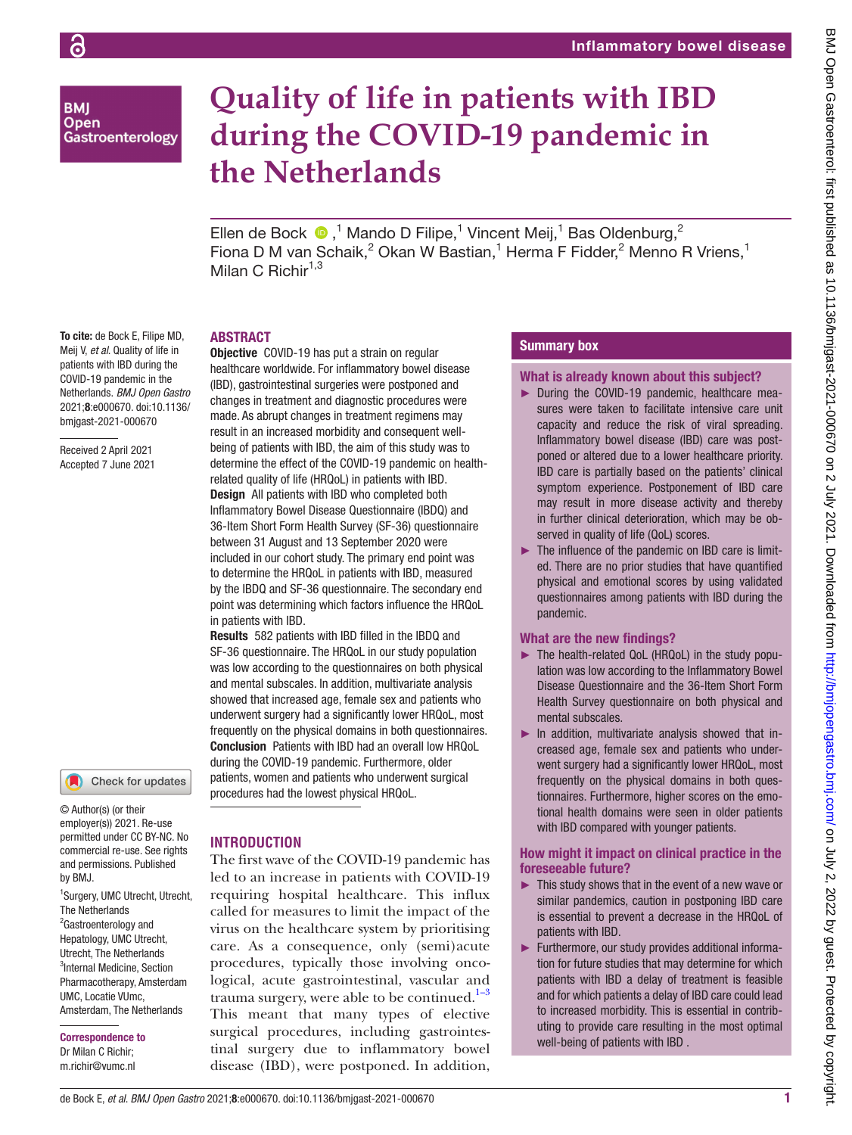**BMI Open** Gastroenterology

# **Quality of life in patients with IBD during the COVID-19 pandemic in the Netherlands**

Ellen de Bock  $\bullet$ ,<sup>1</sup> Mando D Filipe,<sup>1</sup> Vincent Meij,<sup>1</sup> Bas Oldenburg,<sup>2</sup> Fiona D M van Schaik, $^2$  Okan W Bastian,<sup>1</sup> Herma F Fidder, $^2$  Menno R Vriens,<sup>1</sup> Milan C Richir $1,3$ 

## **ABSTRACT**

To cite: de Bock E, Filipe MD, Meij V, *et al*. Quality of life in patients with IBD during the COVID-19 pandemic in the Netherlands. *BMJ Open Gastro* 2021;8:e000670. doi:10.1136/ bmjgast-2021-000670

Received 2 April 2021 Accepted 7 June 2021



© Author(s) (or their employer(s)) 2021. Re-use permitted under CC BY-NC. No commercial re-use. See rights and permissions. Published by BMJ.

1 Surgery, UMC Utrecht, Utrecht, The Netherlands <sup>2</sup>Gastroenterology and Hepatology, UMC Utrecht, Utrecht, The Netherlands <sup>3</sup>Internal Medicine, Section Pharmacotherapy, Amsterdam UMC, Locatie VUmc, Amsterdam, The Netherlands

# Correspondence to

Dr Milan C Richir; m.richir@vumc.nl **Objective** COVID-19 has put a strain on regular healthcare worldwide. For inflammatory bowel disease (IBD), gastrointestinal surgeries were postponed and changes in treatment and diagnostic procedures were made. As abrupt changes in treatment regimens may result in an increased morbidity and consequent wellbeing of patients with IBD, the aim of this study was to determine the effect of the COVID-19 pandemic on healthrelated quality of life (HRQoL) in patients with IBD. Design All patients with IBD who completed both Inflammatory Bowel Disease Questionnaire (IBDQ) and 36-Item Short Form Health Survey (SF-36) questionnaire between 31 August and 13 September 2020 were included in our cohort study. The primary end point was to determine the HRQoL in patients with IBD, measured by the IBDQ and SF-36 questionnaire. The secondary end point was determining which factors influence the HRQoL in patients with IBD.

Results 582 patients with IBD filled in the IBDQ and SF-36 questionnaire. The HRQoL in our study population was low according to the questionnaires on both physical and mental subscales. In addition, multivariate analysis showed that increased age, female sex and patients who underwent surgery had a significantly lower HRQoL, most frequently on the physical domains in both questionnaires. Conclusion Patients with IBD had an overall low HRQoL during the COVID-19 pandemic. Furthermore, older patients, women and patients who underwent surgical procedures had the lowest physical HRQoL.

# **INTRODUCTION**

The first wave of the COVID-19 pandemic has led to an increase in patients with COVID-19 requiring hospital healthcare. This influx called for measures to limit the impact of the virus on the healthcare system by prioritising care. As a consequence, only (semi)acute procedures, typically those involving oncological, acute gastrointestinal, vascular and trauma surgery, were able to be continued. $1-3$ This meant that many types of elective surgical procedures, including gastrointestinal surgery due to inflammatory bowel disease (IBD), were postponed. In addition,

### Summary box

#### What is already known about this subject?

- ► During the COVID-19 pandemic, healthcare measures were taken to facilitate intensive care unit capacity and reduce the risk of viral spreading. Inflammatory bowel disease (IBD) care was postponed or altered due to a lower healthcare priority. IBD care is partially based on the patients' clinical symptom experience. Postponement of IBD care may result in more disease activity and thereby in further clinical deterioration, which may be observed in quality of life (QoL) scores.
- ► The influence of the pandemic on IBD care is limited. There are no prior studies that have quantified physical and emotional scores by using validated questionnaires among patients with IBD during the pandemic.

# What are the new findings?

- ► The health-related QoL (HRQoL) in the study population was low according to the Inflammatory Bowel Disease Questionnaire and the 36-Item Short Form Health Survey questionnaire on both physical and mental subscales.
- ► In addition, multivariate analysis showed that increased age, female sex and patients who underwent surgery had a significantly lower HRQoL, most frequently on the physical domains in both questionnaires. Furthermore, higher scores on the emotional health domains were seen in older patients with IBD compared with younger patients.

#### How might it impact on clinical practice in the foreseeable future?

- $\blacktriangleright$  This study shows that in the event of a new wave or similar pandemics, caution in postponing IBD care is essential to prevent a decrease in the HRQoL of patients with IBD.
- ► Furthermore, our study provides additional information for future studies that may determine for which patients with IBD a delay of treatment is feasible and for which patients a delay of IBD care could lead to increased morbidity. This is essential in contributing to provide care resulting in the most optimal well-being of patients with IBD .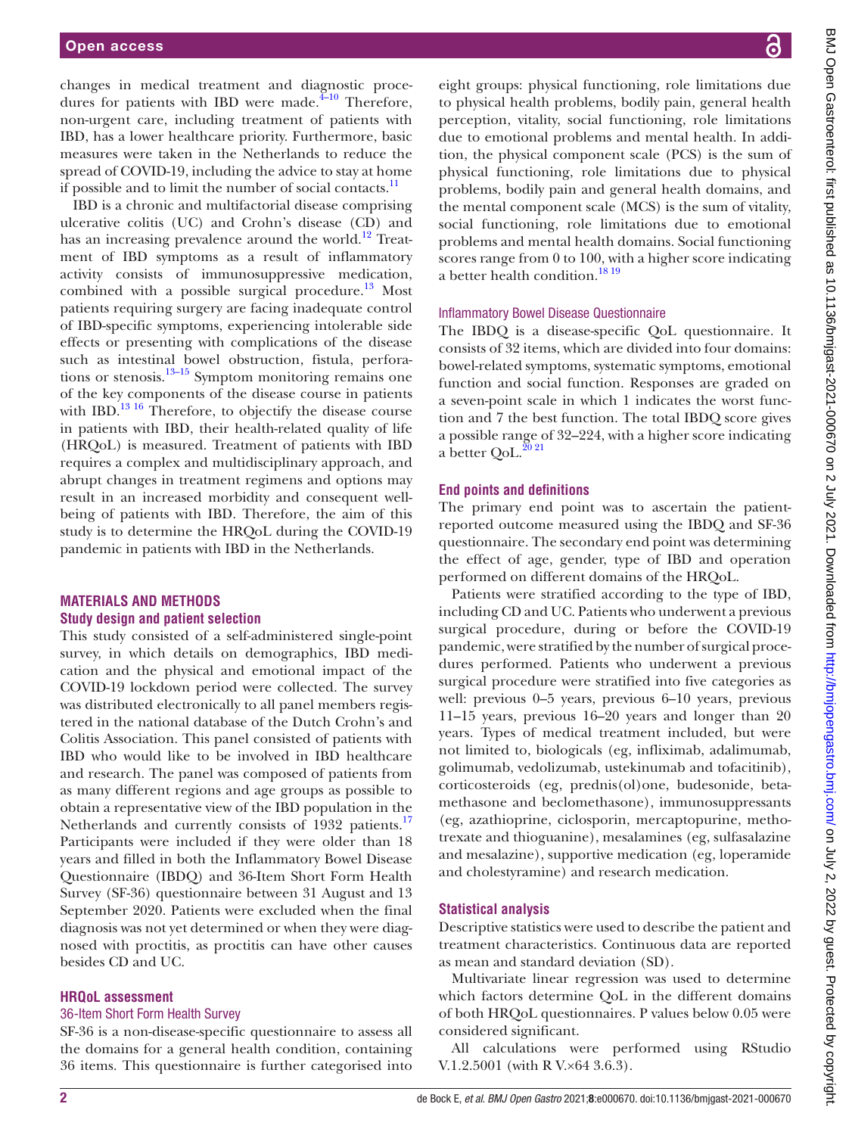changes in medical treatment and diagnostic procedures for patients with IBD were made. $\frac{4-10}{10}$  Therefore, non-urgent care, including treatment of patients with IBD, has a lower healthcare priority. Furthermore, basic measures were taken in the Netherlands to reduce the spread of COVID-19, including the advice to stay at home if possible and to limit the number of social contacts. $\frac{11}{11}$ 

IBD is a chronic and multifactorial disease comprising ulcerative colitis (UC) and Crohn's disease (CD) and has an increasing prevalence around the world. $12$  Treatment of IBD symptoms as a result of inflammatory activity consists of immunosuppressive medication, combined with a possible surgical procedure.<sup>[13](#page-6-2)</sup> Most patients requiring surgery are facing inadequate control of IBD-specific symptoms, experiencing intolerable side effects or presenting with complications of the disease such as intestinal bowel obstruction, fistula, perforations or stenosis. $13-15$  Symptom monitoring remains one of the key components of the disease course in patients with IBD.<sup>[13 16](#page-6-2)</sup> Therefore, to objectify the disease course in patients with IBD, their health-related quality of life (HRQoL) is measured. Treatment of patients with IBD requires a complex and multidisciplinary approach, and abrupt changes in treatment regimens and options may result in an increased morbidity and consequent wellbeing of patients with IBD. Therefore, the aim of this study is to determine the HRQoL during the COVID-19 pandemic in patients with IBD in the Netherlands.

#### **MATERIALS AND METHODS Study design and patient selection**

This study consisted of a self-administered single-point survey, in which details on demographics, IBD medication and the physical and emotional impact of the COVID-19 lockdown period were collected. The survey was distributed electronically to all panel members registered in the national database of the Dutch Crohn's and Colitis Association. This panel consisted of patients with IBD who would like to be involved in IBD healthcare and research. The panel was composed of patients from as many different regions and age groups as possible to obtain a representative view of the IBD population in the Netherlands and currently consists of 1932 patients.<sup>[17](#page-6-3)</sup> Participants were included if they were older than 18 years and filled in both the Inflammatory Bowel Disease Questionnaire (IBDQ) and 36-Item Short Form Health Survey (SF-36) questionnaire between 31 August and 13 September 2020. Patients were excluded when the final diagnosis was not yet determined or when they were diagnosed with proctitis, as proctitis can have other causes besides CD and UC.

#### **HRQoL assessment**

#### 36-Item Short Form Health Survey

SF-36 is a non-disease-specific questionnaire to assess all the domains for a general health condition, containing 36 items. This questionnaire is further categorised into eight groups: physical functioning, role limitations due to physical health problems, bodily pain, general health perception, vitality, social functioning, role limitations due to emotional problems and mental health. In addition, the physical component scale (PCS) is the sum of physical functioning, role limitations due to physical problems, bodily pain and general health domains, and the mental component scale (MCS) is the sum of vitality, social functioning, role limitations due to emotional problems and mental health domains. Social functioning scores range from 0 to 100, with a higher score indicating a better health condition.<sup>18 19</sup>

#### Inflammatory Bowel Disease Questionnaire

The IBDQ is a disease-specific QoL questionnaire. It consists of 32 items, which are divided into four domains: bowel-related symptoms, systematic symptoms, emotional function and social function. Responses are graded on a seven-point scale in which 1 indicates the worst function and 7 the best function. The total IBDQ score gives a possible range of 32–224, with a higher score indicating a better  $QoL$ .<sup>2021</sup>

#### **End points and definitions**

The primary end point was to ascertain the patientreported outcome measured using the IBDQ and SF-36 questionnaire. The secondary end point was determining the effect of age, gender, type of IBD and operation performed on different domains of the HRQoL.

Patients were stratified according to the type of IBD, including CD and UC. Patients who underwent a previous surgical procedure, during or before the COVID-19 pandemic, were stratified by the number of surgical procedures performed. Patients who underwent a previous surgical procedure were stratified into five categories as well: previous 0–5 years, previous 6–10 years, previous 11–15 years, previous 16–20 years and longer than 20 years. Types of medical treatment included, but were not limited to, biologicals (eg, infliximab, adalimumab, golimumab, vedolizumab, ustekinumab and tofacitinib), corticosteroids (eg, prednis(ol)one, budesonide, betamethasone and beclomethasone), immunosuppressants (eg, azathioprine, ciclosporin, mercaptopurine, methotrexate and thioguanine), mesalamines (eg, sulfasalazine and mesalazine), supportive medication (eg, loperamide and cholestyramine) and research medication.

#### **Statistical analysis**

Descriptive statistics were used to describe the patient and treatment characteristics. Continuous data are reported as mean and standard deviation (SD).

Multivariate linear regression was used to determine which factors determine QoL in the different domains of both HRQoL questionnaires. P values below 0.05 were considered significant.

All calculations were performed using RStudio V.1.2.5001 (with R V.×64 3.6.3).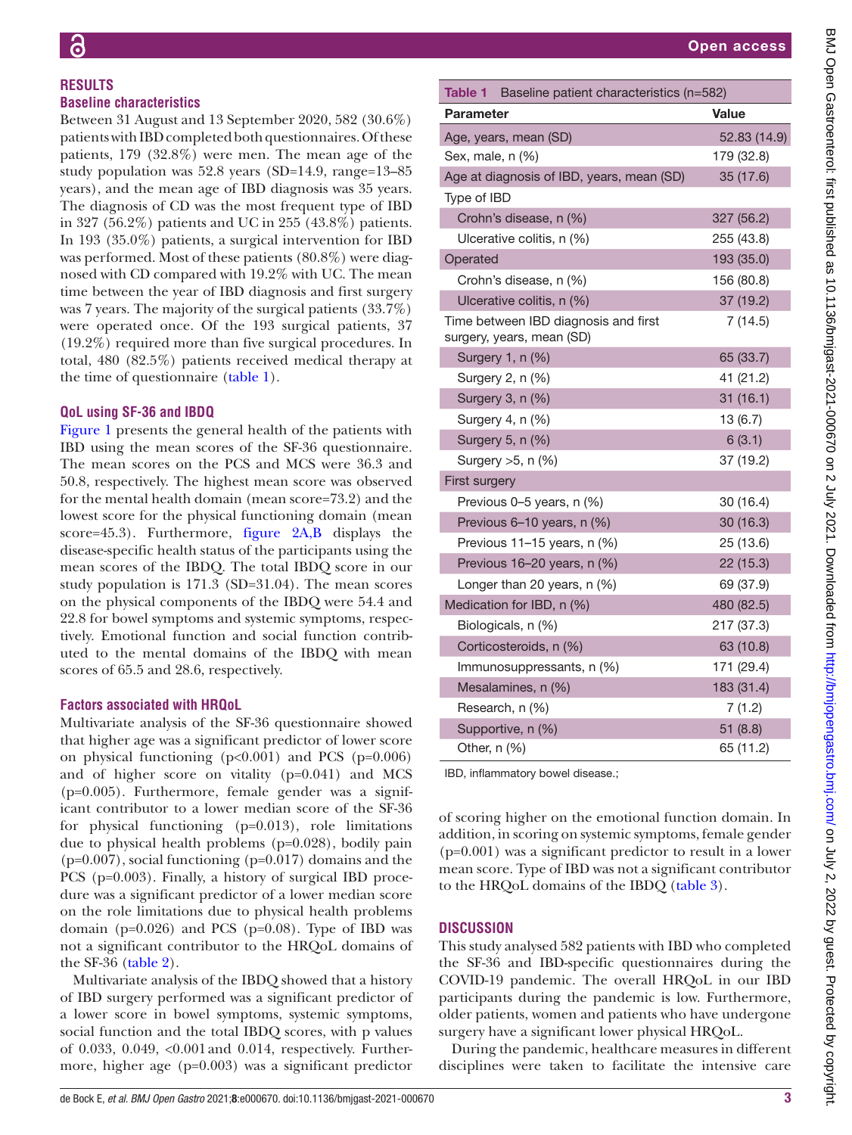#### **RESULTS Baseline characteristics**

Between 31 August and 13 September 2020, 582 (30.6%) patients with IBD completed both questionnaires. Of these patients, 179 (32.8%) were men. The mean age of the study population was 52.8 years (SD=14.9, range=13–85 years), and the mean age of IBD diagnosis was 35 years. The diagnosis of CD was the most frequent type of IBD in 327 (56.2%) patients and UC in 255 (43.8%) patients. In 193 (35.0%) patients, a surgical intervention for IBD was performed. Most of these patients (80.8%) were diagnosed with CD compared with 19.2% with UC. The mean time between the year of IBD diagnosis and first surgery was 7 years. The majority of the surgical patients (33.7%) were operated once. Of the 193 surgical patients, 37 (19.2%) required more than five surgical procedures. In total, 480 (82.5%) patients received medical therapy at the time of questionnaire ([table](#page-2-0) 1).

# **QoL using SF-36 and IBDQ**

[Figure](#page-3-0) 1 presents the general health of the patients with IBD using the mean scores of the SF-36 questionnaire. The mean scores on the PCS and MCS were 36.3 and 50.8, respectively. The highest mean score was observed for the mental health domain (mean score=73.2) and the lowest score for the physical functioning domain (mean score=45.3). Furthermore, [figure](#page-3-1) 2A,B displays the disease-specific health status of the participants using the mean scores of the IBDQ. The total IBDQ score in our study population is 171.3 (SD=31.04). The mean scores on the physical components of the IBDQ were 54.4 and 22.8 for bowel symptoms and systemic symptoms, respectively. Emotional function and social function contributed to the mental domains of the IBDQ with mean scores of 65.5 and 28.6, respectively.

# **Factors associated with HRQoL**

Multivariate analysis of the SF-36 questionnaire showed that higher age was a significant predictor of lower score on physical functioning  $(p<0.001)$  and PCS  $(p=0.006)$ and of higher score on vitality (p=0.041) and MCS (p=0.005). Furthermore, female gender was a significant contributor to a lower median score of the SF-36 for physical functioning (p=0.013), role limitations due to physical health problems (p=0.028), bodily pain  $(p=0.007)$ , social functioning  $(p=0.017)$  domains and the PCS (p=0.003). Finally, a history of surgical IBD procedure was a significant predictor of a lower median score on the role limitations due to physical health problems domain ( $p=0.026$ ) and PCS ( $p=0.08$ ). Type of IBD was not a significant contributor to the HRQoL domains of the SF-36 [\(table](#page-4-0)  $2$ ).

Multivariate analysis of the IBDQ showed that a history of IBD surgery performed was a significant predictor of a lower score in bowel symptoms, systemic symptoms, social function and the total IBDQ scores, with p values of 0.033, 0.049, <0.001and 0.014, respectively. Furthermore, higher age (p=0.003) was a significant predictor

| cteristics (n=582) | <b>Value</b> |                      |
|--------------------|--------------|----------------------|
|                    |              | 52.83 (14.9)         |
|                    |              | 179 (32.8)           |
| nean (SD)          |              | 35 (17.6)            |
|                    |              |                      |
|                    |              | 327 (56.2)           |
|                    |              | 255 (43.8)           |
|                    |              | 193 (35.0)           |
|                    |              | 156 (80.8)           |
|                    |              | 37 (19.2)            |
| d first            |              | 7(14.5)              |
|                    |              | 65 (33.7)            |
|                    |              | 41 (21.2)            |
|                    |              | 31 (16.1)            |
|                    |              | 13 (6.7)             |
|                    |              | 6(3.1)               |
|                    |              | 37 (19.2)            |
|                    |              |                      |
|                    |              | 30 (16.4)            |
|                    |              | 30 (16.3)            |
|                    |              | 25 (13.6)            |
|                    |              | 22 (15.3)            |
|                    |              | 69 (37.9)            |
|                    |              | 480 (82.5)           |
|                    |              | 217 (37.3)           |
|                    |              | 63 (10.8)            |
|                    |              | 171 (29.4)           |
|                    |              | 183 (31.4)<br>7(1.2) |
|                    |              | 51 (8.8)             |
|                    |              | 65 (11.2)            |

IBD, inflammatory bowel disease.;

Mesalamines, n (%) Research, n (%) Supportive, n (%) Other,  $n$  (%)

<span id="page-2-0"></span>Table 1 Baseline patient chara

Age at diagnosis of IBD, years,

Crohn's disease, n (%) Ulcerative colitis, n (%)

Crohn's disease, n (%) Ulcerative colitis, n (%) Time between IBD diagnosis and surgery, years, mean (SD)

Previous 0–5 years, n (%) Previous 6-10 years, n (%) Previous 11-15 years, n (%) Previous 16–20 years, n (%) Longer than 20 years,  $n$  (%) Medication for IBD,  $n$  (%) Biologicals, n (%) Corticosteroids, n (%) Immunosuppressants, n (%)

Surgery 1, n (%) Surgery 2, n (%) Surgery 3, n (%) Surgery 4,  $n$  (%) Surgery 5, n (%) Surgery  $>5$ , n (%)

First surgery

Parameter

Type of IBD

Operated

Age, years, mean (SD) Sex, male, n (%)

of scoring higher on the emotional function domain. In addition, in scoring on systemic symptoms, female gender (p=0.001) was a significant predictor to result in a lower mean score. Type of IBD was not a significant contributor to the HRQoL domains of the IBDQ ([table](#page-4-1) 3).

# **DISCUSSION**

This study analysed 582 patients with IBD who completed the SF-36 and IBD-specific questionnaires during the COVID-19 pandemic. The overall HRQoL in our IBD participants during the pandemic is low. Furthermore, older patients, women and patients who have undergone surgery have a significant lower physical HRQoL.

During the pandemic, healthcare measures in different disciplines were taken to facilitate the intensive care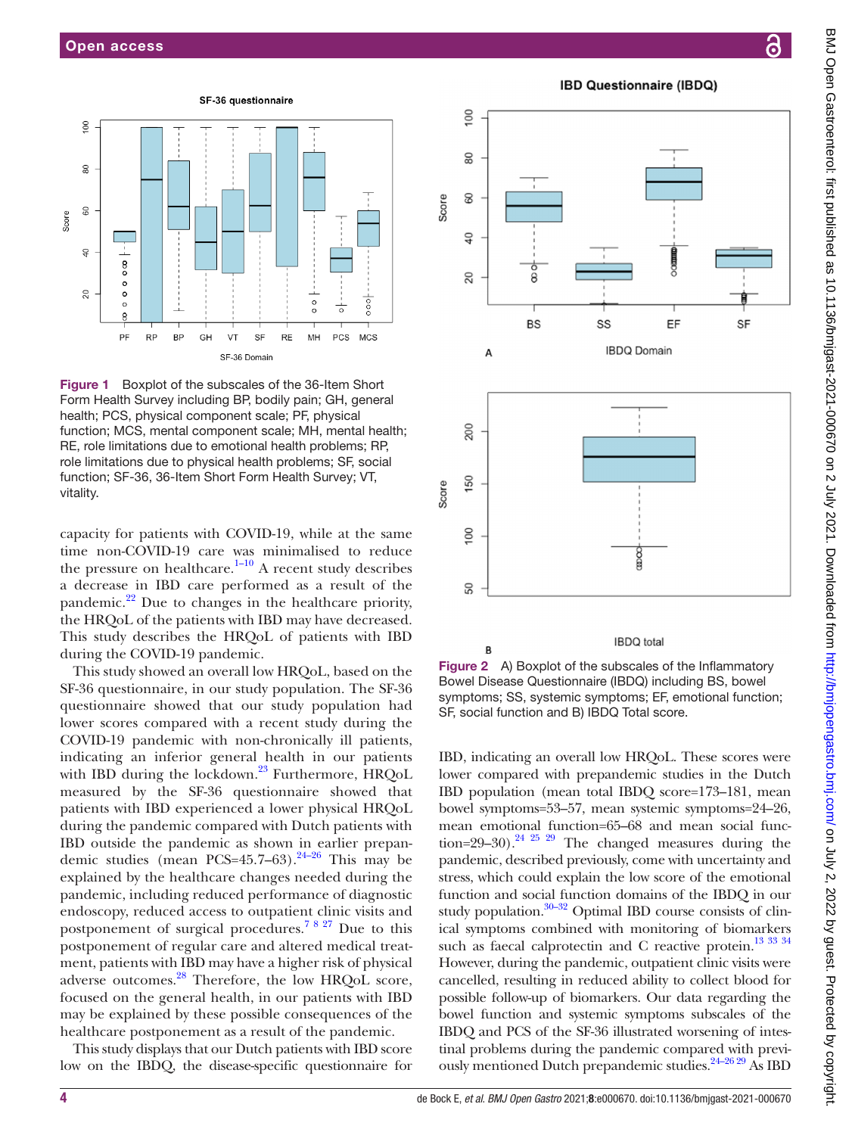

<span id="page-3-0"></span>Figure 1 Boxplot of the subscales of the 36-Item Short Form Health Survey including BP, bodily pain; GH, general health; PCS, physical component scale; PF, physical function; MCS, mental component scale; MH, mental health; RE, role limitations due to emotional health problems; RP, role limitations due to physical health problems; SF, social function; SF-36, 36-Item Short Form Health Survey; VT, vitality.

capacity for patients with COVID-19, while at the same time non-COVID-19 care was minimalised to reduce the pressure on healthcare.<sup>[1–10](#page-5-0)</sup> A recent study describes a decrease in IBD care performed as a result of the pandemic.<sup>22</sup> Due to changes in the healthcare priority, the HRQoL of the patients with IBD may have decreased. This study describes the HRQoL of patients with IBD during the COVID-19 pandemic.

This study showed an overall low HRQoL, based on the SF-36 questionnaire, in our study population. The SF-36 questionnaire showed that our study population had lower scores compared with a recent study during the COVID-19 pandemic with non-chronically ill patients, indicating an inferior general health in our patients with IBD during the lockdown.<sup>[23](#page-6-7)</sup> Furthermore, HRQoL measured by the SF-36 questionnaire showed that patients with IBD experienced a lower physical HRQoL during the pandemic compared with Dutch patients with IBD outside the pandemic as shown in earlier prepandemic studies (mean PCS=45.7–63).<sup>24–26</sup> This may be explained by the healthcare changes needed during the pandemic, including reduced performance of diagnostic endoscopy, reduced access to outpatient clinic visits and postponement of surgical procedures.[7 8 27](#page-5-2) Due to this postponement of regular care and altered medical treatment, patients with IBD may have a higher risk of physical adverse outcomes.<sup>28</sup> Therefore, the low HRQoL score, focused on the general health, in our patients with IBD may be explained by these possible consequences of the healthcare postponement as a result of the pandemic.

This study displays that our Dutch patients with IBD score low on the IBDQ, the disease-specific questionnaire for

**IBD Questionnaire (IBDQ)** 

100

 $\overline{R}$ 

4 de Bock E, *et al*. *BMJ Open Gastro* 2021;8:e000670. doi:10.1136/bmjgast-2021-000670

80 Score 8  $\overline{Q}$ 20 **BS** EF SF SS **IBDQ Domain**  $\Delta$ 200 150 Score



<span id="page-3-1"></span>Figure 2 A) Boxplot of the subscales of the Inflammatory Bowel Disease Questionnaire (IBDQ) including BS, bowel symptoms; SS, systemic symptoms; EF, emotional function; SF, social function and B) IBDQ Total score.

IBD, indicating an overall low HRQoL. These scores were lower compared with prepandemic studies in the Dutch IBD population (mean total IBDQ score=173–181, mean bowel symptoms=53–57, mean systemic symptoms=24–26, mean emotional function=65–68 and mean social function=29–30).<sup>24 25 29</sup> The changed measures during the pandemic, described previously, come with uncertainty and stress, which could explain the low score of the emotional function and social function domains of the IBDQ in our study population. $30-32$  Optimal IBD course consists of clinical symptoms combined with monitoring of biomarkers such as faecal calprotectin and C reactive protein.<sup>13</sup> 33 34 However, during the pandemic, outpatient clinic visits were cancelled, resulting in reduced ability to collect blood for possible follow-up of biomarkers. Our data regarding the bowel function and systemic symptoms subscales of the IBDQ and PCS of the SF-36 illustrated worsening of intestinal problems during the pandemic compared with previously mentioned Dutch prepandemic studies[.24–26 29](#page-6-8) As IBD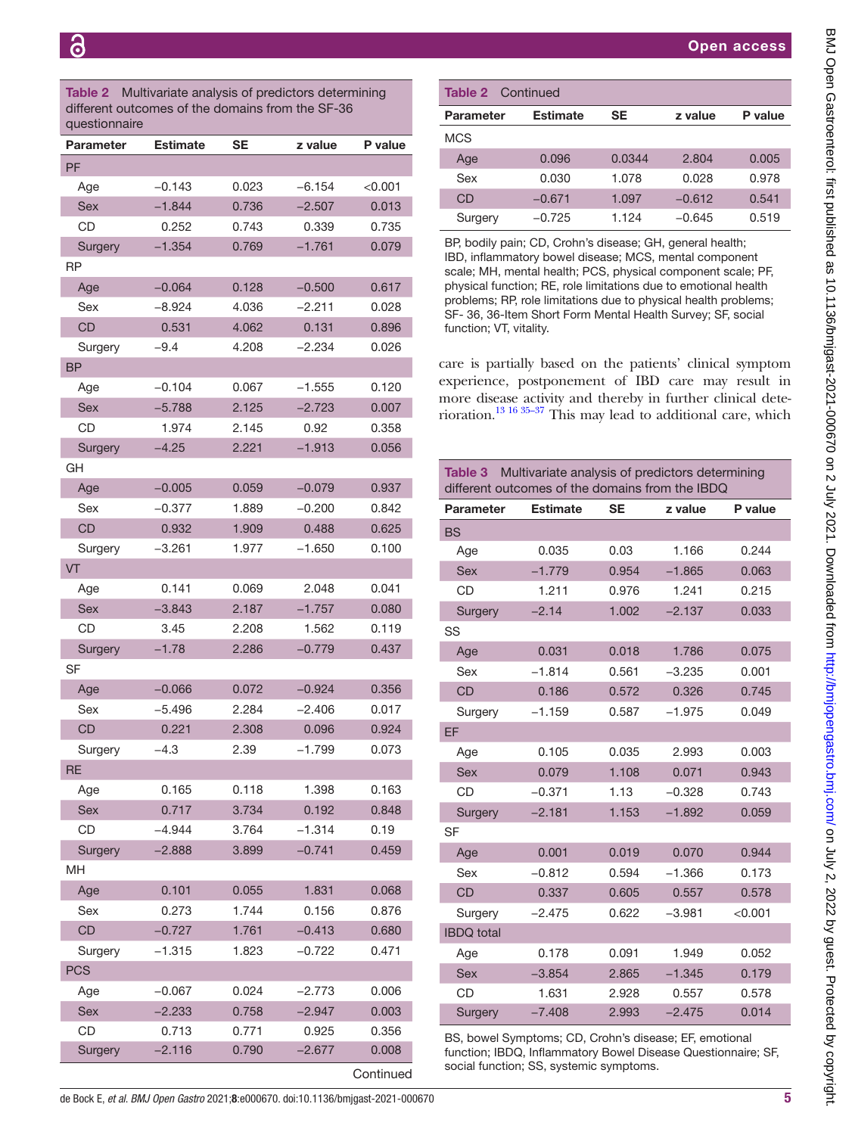<span id="page-4-0"></span>Table 2 Multivariate analysis of predictors determining different outcomes of the domains from the SF-36 questionnaire

| <b>PF</b><br>$-0.143$<br>$-6.154$<br>0.023<br>$<$ 0.001 $<$<br>Age<br>Sex<br>$-1.844$<br>0.736<br>$-2.507$<br>0.013<br>CD<br>0.743<br>0.735<br>0.252<br>0.339<br>$-1.354$<br>$-1.761$<br>0.769<br>0.079<br>Surgery<br>RP<br>$-0.064$<br>$-0.500$<br>Age<br>0.128<br>0.617<br>$-8.924$<br>4.036<br>$-2.211$<br>Sex<br>0.028<br>CD<br>4.062<br>0.531<br>0.131<br>0.896<br>Surgery<br>$-9.4$<br>4.208<br>$-2.234$<br>0.026<br><b>BP</b><br>$-0.104$<br>0.067<br>$-1.555$<br>0.120<br>Age<br><b>Sex</b><br>$-5.788$<br>2.125<br>$-2.723$<br>0.007<br>CD<br>1.974<br>2.145<br>0.92<br>0.358<br>$-1.913$<br>$-4.25$<br>2.221<br>0.056<br>Surgery<br>GH<br>$-0.005$<br>0.059<br>$-0.079$<br>Age<br>0.937<br>Sex<br>$-0.377$<br>1.889<br>$-0.200$<br>0.842<br><b>CD</b><br>0.932<br>1.909<br>0.488<br>0.625<br>1.977<br>0.100<br>-3.261<br>$-1.650$<br>Surgery<br><b>VT</b><br>0.141<br>0.069<br>2.048<br>0.041<br>Age<br>2.187<br>$-1.757$<br><b>Sex</b><br>$-3.843$<br>0.080<br>CD<br>0.119<br>3.45<br>2.208<br>1.562<br>$-1.78$<br>$-0.779$<br>0.437<br>2.286<br>Surgery<br>SF<br>0.356<br>Age<br>$-0.066$<br>0.072<br>$-0.924$<br>Sex<br>-5.496<br>2.284<br>$-2.406$<br>0.017<br>CD<br>0.221<br>2.308<br>0.096<br>0.924<br>$-4.3$<br>$-1.799$<br>Surgery<br>2.39<br>0.073<br>RE<br>0.165<br>0.118<br>1.398<br>0.163<br>Age<br>0.717<br>0.192<br>Sex<br>3.734<br>0.848<br>CD<br>$-4.944$<br>3.764<br>$-1.314$<br>0.19<br>$-0.741$<br>0.459<br>$-2.888$<br>3.899<br>Surgery<br>MH<br>Age<br>0.101<br>0.055<br>1.831<br>0.068<br>1.744<br>0.156<br>0.273<br>Sex<br>0.876<br>CD<br>$-0.727$<br>1.761<br>$-0.413$<br>0.680<br>$-1.315$<br>1.823<br>0.471<br>$-0.722$<br>Surgery<br><b>PCS</b><br>$-0.067$<br>0.024<br>0.006<br>Age<br>$-2.773$<br>0.758<br>Sex<br>$-2.233$<br>$-2.947$<br>0.003<br>CD<br>0.713<br>0.771<br>0.356<br>0.925<br>$-2.116$<br>0.790<br>0.008<br>Surgery<br>–2.677 | Parameter | <b>Estimate</b> | <b>SE</b> | z value | P value |
|-------------------------------------------------------------------------------------------------------------------------------------------------------------------------------------------------------------------------------------------------------------------------------------------------------------------------------------------------------------------------------------------------------------------------------------------------------------------------------------------------------------------------------------------------------------------------------------------------------------------------------------------------------------------------------------------------------------------------------------------------------------------------------------------------------------------------------------------------------------------------------------------------------------------------------------------------------------------------------------------------------------------------------------------------------------------------------------------------------------------------------------------------------------------------------------------------------------------------------------------------------------------------------------------------------------------------------------------------------------------------------------------------------------------------------------------------------------------------------------------------------------------------------------------------------------------------------------------------------------------------------------------------------------------------------------------------------------------------------------------------------------------------------------------------------------------------------------------------------------------------------------|-----------|-----------------|-----------|---------|---------|
|                                                                                                                                                                                                                                                                                                                                                                                                                                                                                                                                                                                                                                                                                                                                                                                                                                                                                                                                                                                                                                                                                                                                                                                                                                                                                                                                                                                                                                                                                                                                                                                                                                                                                                                                                                                                                                                                                     |           |                 |           |         |         |
|                                                                                                                                                                                                                                                                                                                                                                                                                                                                                                                                                                                                                                                                                                                                                                                                                                                                                                                                                                                                                                                                                                                                                                                                                                                                                                                                                                                                                                                                                                                                                                                                                                                                                                                                                                                                                                                                                     |           |                 |           |         |         |
|                                                                                                                                                                                                                                                                                                                                                                                                                                                                                                                                                                                                                                                                                                                                                                                                                                                                                                                                                                                                                                                                                                                                                                                                                                                                                                                                                                                                                                                                                                                                                                                                                                                                                                                                                                                                                                                                                     |           |                 |           |         |         |
|                                                                                                                                                                                                                                                                                                                                                                                                                                                                                                                                                                                                                                                                                                                                                                                                                                                                                                                                                                                                                                                                                                                                                                                                                                                                                                                                                                                                                                                                                                                                                                                                                                                                                                                                                                                                                                                                                     |           |                 |           |         |         |
|                                                                                                                                                                                                                                                                                                                                                                                                                                                                                                                                                                                                                                                                                                                                                                                                                                                                                                                                                                                                                                                                                                                                                                                                                                                                                                                                                                                                                                                                                                                                                                                                                                                                                                                                                                                                                                                                                     |           |                 |           |         |         |
|                                                                                                                                                                                                                                                                                                                                                                                                                                                                                                                                                                                                                                                                                                                                                                                                                                                                                                                                                                                                                                                                                                                                                                                                                                                                                                                                                                                                                                                                                                                                                                                                                                                                                                                                                                                                                                                                                     |           |                 |           |         |         |
|                                                                                                                                                                                                                                                                                                                                                                                                                                                                                                                                                                                                                                                                                                                                                                                                                                                                                                                                                                                                                                                                                                                                                                                                                                                                                                                                                                                                                                                                                                                                                                                                                                                                                                                                                                                                                                                                                     |           |                 |           |         |         |
|                                                                                                                                                                                                                                                                                                                                                                                                                                                                                                                                                                                                                                                                                                                                                                                                                                                                                                                                                                                                                                                                                                                                                                                                                                                                                                                                                                                                                                                                                                                                                                                                                                                                                                                                                                                                                                                                                     |           |                 |           |         |         |
|                                                                                                                                                                                                                                                                                                                                                                                                                                                                                                                                                                                                                                                                                                                                                                                                                                                                                                                                                                                                                                                                                                                                                                                                                                                                                                                                                                                                                                                                                                                                                                                                                                                                                                                                                                                                                                                                                     |           |                 |           |         |         |
|                                                                                                                                                                                                                                                                                                                                                                                                                                                                                                                                                                                                                                                                                                                                                                                                                                                                                                                                                                                                                                                                                                                                                                                                                                                                                                                                                                                                                                                                                                                                                                                                                                                                                                                                                                                                                                                                                     |           |                 |           |         |         |
|                                                                                                                                                                                                                                                                                                                                                                                                                                                                                                                                                                                                                                                                                                                                                                                                                                                                                                                                                                                                                                                                                                                                                                                                                                                                                                                                                                                                                                                                                                                                                                                                                                                                                                                                                                                                                                                                                     |           |                 |           |         |         |
|                                                                                                                                                                                                                                                                                                                                                                                                                                                                                                                                                                                                                                                                                                                                                                                                                                                                                                                                                                                                                                                                                                                                                                                                                                                                                                                                                                                                                                                                                                                                                                                                                                                                                                                                                                                                                                                                                     |           |                 |           |         |         |
|                                                                                                                                                                                                                                                                                                                                                                                                                                                                                                                                                                                                                                                                                                                                                                                                                                                                                                                                                                                                                                                                                                                                                                                                                                                                                                                                                                                                                                                                                                                                                                                                                                                                                                                                                                                                                                                                                     |           |                 |           |         |         |
|                                                                                                                                                                                                                                                                                                                                                                                                                                                                                                                                                                                                                                                                                                                                                                                                                                                                                                                                                                                                                                                                                                                                                                                                                                                                                                                                                                                                                                                                                                                                                                                                                                                                                                                                                                                                                                                                                     |           |                 |           |         |         |
|                                                                                                                                                                                                                                                                                                                                                                                                                                                                                                                                                                                                                                                                                                                                                                                                                                                                                                                                                                                                                                                                                                                                                                                                                                                                                                                                                                                                                                                                                                                                                                                                                                                                                                                                                                                                                                                                                     |           |                 |           |         |         |
|                                                                                                                                                                                                                                                                                                                                                                                                                                                                                                                                                                                                                                                                                                                                                                                                                                                                                                                                                                                                                                                                                                                                                                                                                                                                                                                                                                                                                                                                                                                                                                                                                                                                                                                                                                                                                                                                                     |           |                 |           |         |         |
|                                                                                                                                                                                                                                                                                                                                                                                                                                                                                                                                                                                                                                                                                                                                                                                                                                                                                                                                                                                                                                                                                                                                                                                                                                                                                                                                                                                                                                                                                                                                                                                                                                                                                                                                                                                                                                                                                     |           |                 |           |         |         |
|                                                                                                                                                                                                                                                                                                                                                                                                                                                                                                                                                                                                                                                                                                                                                                                                                                                                                                                                                                                                                                                                                                                                                                                                                                                                                                                                                                                                                                                                                                                                                                                                                                                                                                                                                                                                                                                                                     |           |                 |           |         |         |
|                                                                                                                                                                                                                                                                                                                                                                                                                                                                                                                                                                                                                                                                                                                                                                                                                                                                                                                                                                                                                                                                                                                                                                                                                                                                                                                                                                                                                                                                                                                                                                                                                                                                                                                                                                                                                                                                                     |           |                 |           |         |         |
|                                                                                                                                                                                                                                                                                                                                                                                                                                                                                                                                                                                                                                                                                                                                                                                                                                                                                                                                                                                                                                                                                                                                                                                                                                                                                                                                                                                                                                                                                                                                                                                                                                                                                                                                                                                                                                                                                     |           |                 |           |         |         |
|                                                                                                                                                                                                                                                                                                                                                                                                                                                                                                                                                                                                                                                                                                                                                                                                                                                                                                                                                                                                                                                                                                                                                                                                                                                                                                                                                                                                                                                                                                                                                                                                                                                                                                                                                                                                                                                                                     |           |                 |           |         |         |
|                                                                                                                                                                                                                                                                                                                                                                                                                                                                                                                                                                                                                                                                                                                                                                                                                                                                                                                                                                                                                                                                                                                                                                                                                                                                                                                                                                                                                                                                                                                                                                                                                                                                                                                                                                                                                                                                                     |           |                 |           |         |         |
|                                                                                                                                                                                                                                                                                                                                                                                                                                                                                                                                                                                                                                                                                                                                                                                                                                                                                                                                                                                                                                                                                                                                                                                                                                                                                                                                                                                                                                                                                                                                                                                                                                                                                                                                                                                                                                                                                     |           |                 |           |         |         |
|                                                                                                                                                                                                                                                                                                                                                                                                                                                                                                                                                                                                                                                                                                                                                                                                                                                                                                                                                                                                                                                                                                                                                                                                                                                                                                                                                                                                                                                                                                                                                                                                                                                                                                                                                                                                                                                                                     |           |                 |           |         |         |
|                                                                                                                                                                                                                                                                                                                                                                                                                                                                                                                                                                                                                                                                                                                                                                                                                                                                                                                                                                                                                                                                                                                                                                                                                                                                                                                                                                                                                                                                                                                                                                                                                                                                                                                                                                                                                                                                                     |           |                 |           |         |         |
|                                                                                                                                                                                                                                                                                                                                                                                                                                                                                                                                                                                                                                                                                                                                                                                                                                                                                                                                                                                                                                                                                                                                                                                                                                                                                                                                                                                                                                                                                                                                                                                                                                                                                                                                                                                                                                                                                     |           |                 |           |         |         |
|                                                                                                                                                                                                                                                                                                                                                                                                                                                                                                                                                                                                                                                                                                                                                                                                                                                                                                                                                                                                                                                                                                                                                                                                                                                                                                                                                                                                                                                                                                                                                                                                                                                                                                                                                                                                                                                                                     |           |                 |           |         |         |
|                                                                                                                                                                                                                                                                                                                                                                                                                                                                                                                                                                                                                                                                                                                                                                                                                                                                                                                                                                                                                                                                                                                                                                                                                                                                                                                                                                                                                                                                                                                                                                                                                                                                                                                                                                                                                                                                                     |           |                 |           |         |         |
|                                                                                                                                                                                                                                                                                                                                                                                                                                                                                                                                                                                                                                                                                                                                                                                                                                                                                                                                                                                                                                                                                                                                                                                                                                                                                                                                                                                                                                                                                                                                                                                                                                                                                                                                                                                                                                                                                     |           |                 |           |         |         |
|                                                                                                                                                                                                                                                                                                                                                                                                                                                                                                                                                                                                                                                                                                                                                                                                                                                                                                                                                                                                                                                                                                                                                                                                                                                                                                                                                                                                                                                                                                                                                                                                                                                                                                                                                                                                                                                                                     |           |                 |           |         |         |
|                                                                                                                                                                                                                                                                                                                                                                                                                                                                                                                                                                                                                                                                                                                                                                                                                                                                                                                                                                                                                                                                                                                                                                                                                                                                                                                                                                                                                                                                                                                                                                                                                                                                                                                                                                                                                                                                                     |           |                 |           |         |         |
|                                                                                                                                                                                                                                                                                                                                                                                                                                                                                                                                                                                                                                                                                                                                                                                                                                                                                                                                                                                                                                                                                                                                                                                                                                                                                                                                                                                                                                                                                                                                                                                                                                                                                                                                                                                                                                                                                     |           |                 |           |         |         |
|                                                                                                                                                                                                                                                                                                                                                                                                                                                                                                                                                                                                                                                                                                                                                                                                                                                                                                                                                                                                                                                                                                                                                                                                                                                                                                                                                                                                                                                                                                                                                                                                                                                                                                                                                                                                                                                                                     |           |                 |           |         |         |
|                                                                                                                                                                                                                                                                                                                                                                                                                                                                                                                                                                                                                                                                                                                                                                                                                                                                                                                                                                                                                                                                                                                                                                                                                                                                                                                                                                                                                                                                                                                                                                                                                                                                                                                                                                                                                                                                                     |           |                 |           |         |         |
|                                                                                                                                                                                                                                                                                                                                                                                                                                                                                                                                                                                                                                                                                                                                                                                                                                                                                                                                                                                                                                                                                                                                                                                                                                                                                                                                                                                                                                                                                                                                                                                                                                                                                                                                                                                                                                                                                     |           |                 |           |         |         |
|                                                                                                                                                                                                                                                                                                                                                                                                                                                                                                                                                                                                                                                                                                                                                                                                                                                                                                                                                                                                                                                                                                                                                                                                                                                                                                                                                                                                                                                                                                                                                                                                                                                                                                                                                                                                                                                                                     |           |                 |           |         |         |
|                                                                                                                                                                                                                                                                                                                                                                                                                                                                                                                                                                                                                                                                                                                                                                                                                                                                                                                                                                                                                                                                                                                                                                                                                                                                                                                                                                                                                                                                                                                                                                                                                                                                                                                                                                                                                                                                                     |           |                 |           |         |         |
|                                                                                                                                                                                                                                                                                                                                                                                                                                                                                                                                                                                                                                                                                                                                                                                                                                                                                                                                                                                                                                                                                                                                                                                                                                                                                                                                                                                                                                                                                                                                                                                                                                                                                                                                                                                                                                                                                     |           |                 |           |         |         |
|                                                                                                                                                                                                                                                                                                                                                                                                                                                                                                                                                                                                                                                                                                                                                                                                                                                                                                                                                                                                                                                                                                                                                                                                                                                                                                                                                                                                                                                                                                                                                                                                                                                                                                                                                                                                                                                                                     |           |                 |           |         |         |
|                                                                                                                                                                                                                                                                                                                                                                                                                                                                                                                                                                                                                                                                                                                                                                                                                                                                                                                                                                                                                                                                                                                                                                                                                                                                                                                                                                                                                                                                                                                                                                                                                                                                                                                                                                                                                                                                                     |           |                 |           |         |         |
|                                                                                                                                                                                                                                                                                                                                                                                                                                                                                                                                                                                                                                                                                                                                                                                                                                                                                                                                                                                                                                                                                                                                                                                                                                                                                                                                                                                                                                                                                                                                                                                                                                                                                                                                                                                                                                                                                     |           |                 |           |         |         |
|                                                                                                                                                                                                                                                                                                                                                                                                                                                                                                                                                                                                                                                                                                                                                                                                                                                                                                                                                                                                                                                                                                                                                                                                                                                                                                                                                                                                                                                                                                                                                                                                                                                                                                                                                                                                                                                                                     |           |                 |           |         |         |
|                                                                                                                                                                                                                                                                                                                                                                                                                                                                                                                                                                                                                                                                                                                                                                                                                                                                                                                                                                                                                                                                                                                                                                                                                                                                                                                                                                                                                                                                                                                                                                                                                                                                                                                                                                                                                                                                                     |           |                 |           |         |         |
|                                                                                                                                                                                                                                                                                                                                                                                                                                                                                                                                                                                                                                                                                                                                                                                                                                                                                                                                                                                                                                                                                                                                                                                                                                                                                                                                                                                                                                                                                                                                                                                                                                                                                                                                                                                                                                                                                     |           |                 |           |         |         |
|                                                                                                                                                                                                                                                                                                                                                                                                                                                                                                                                                                                                                                                                                                                                                                                                                                                                                                                                                                                                                                                                                                                                                                                                                                                                                                                                                                                                                                                                                                                                                                                                                                                                                                                                                                                                                                                                                     |           |                 |           |         |         |

| <b>Table 2</b> Continued |                 |        |          |         |  |
|--------------------------|-----------------|--------|----------|---------|--|
| <b>Parameter</b>         | <b>Estimate</b> | SE     | z value  | P value |  |
| <b>MCS</b>               |                 |        |          |         |  |
| Age                      | 0.096           | 0.0344 | 2.804    | 0.005   |  |
| Sex                      | 0.030           | 1.078  | 0.028    | 0.978   |  |
| CD                       | $-0.671$        | 1.097  | $-0.612$ | 0.541   |  |
| Surgery                  | $-0.725$        | 1.124  | $-0.645$ | 0.519   |  |

BP, bodily pain; CD, Crohn's disease; GH, general health; IBD, inflammatory bowel disease; MCS, mental component scale; MH, mental health; PCS, physical component scale; PF, physical function; RE, role limitations due to emotional health problems; RP, role limitations due to physical health problems; SF- 36, 36-Item Short Form Mental Health Survey; SF, social function; VT, vitality.

care is partially based on the patients' clinical symptom experience, postponement of IBD care may result in more disease activity and thereby in further clinical deterioration[.13 16 35–37](#page-6-2) This may lead to additional care, which

<span id="page-4-1"></span>

| Multivariate analysis of predictors determining<br>Table 3<br>different outcomes of the domains from the IBDQ |                 |           |          |         |
|---------------------------------------------------------------------------------------------------------------|-----------------|-----------|----------|---------|
| <b>Parameter</b>                                                                                              | <b>Estimate</b> | <b>SE</b> | z value  | P value |
| <b>BS</b>                                                                                                     |                 |           |          |         |
| Age                                                                                                           | 0.035           | 0.03      | 1.166    | 0.244   |
| <b>Sex</b>                                                                                                    | $-1.779$        | 0.954     | $-1.865$ | 0.063   |
| <b>CD</b>                                                                                                     | 1.211           | 0.976     | 1.241    | 0.215   |
| Surgery                                                                                                       | $-2.14$         | 1.002     | $-2.137$ | 0.033   |
| SS                                                                                                            |                 |           |          |         |
| Age                                                                                                           | 0.031           | 0.018     | 1.786    | 0.075   |
| Sex                                                                                                           | $-1.814$        | 0.561     | $-3.235$ | 0.001   |
| <b>CD</b>                                                                                                     | 0.186           | 0.572     | 0.326    | 0.745   |
| Surgery                                                                                                       | $-1.159$        | 0.587     | $-1.975$ | 0.049   |
| EF                                                                                                            |                 |           |          |         |
| Age                                                                                                           | 0.105           | 0.035     | 2.993    | 0.003   |
| <b>Sex</b>                                                                                                    | 0.079           | 1.108     | 0.071    | 0.943   |
| CD                                                                                                            | $-0.371$        | 1.13      | $-0.328$ | 0.743   |
| Surgery                                                                                                       | $-2.181$        | 1.153     | $-1.892$ | 0.059   |
| <b>SF</b>                                                                                                     |                 |           |          |         |
| Age                                                                                                           | 0.001           | 0.019     | 0.070    | 0.944   |
| Sex                                                                                                           | $-0.812$        | 0.594     | $-1.366$ | 0.173   |
| <b>CD</b>                                                                                                     | 0.337           | 0.605     | 0.557    | 0.578   |
| Surgery                                                                                                       | $-2.475$        | 0.622     | $-3.981$ | < 0.001 |
| <b>IBDQ</b> total                                                                                             |                 |           |          |         |
| Age                                                                                                           | 0.178           | 0.091     | 1.949    | 0.052   |
| <b>Sex</b>                                                                                                    | $-3.854$        | 2.865     | $-1.345$ | 0.179   |
| CD                                                                                                            | 1.631           | 2.928     | 0.557    | 0.578   |
| Surgery                                                                                                       | $-7.408$        | 2.993     | $-2.475$ | 0.014   |

BS, bowel Symptoms; CD, Crohn's disease; EF, emotional function; IBDQ, Inflammatory Bowel Disease Questionnaire; SF, social function; SS, systemic symptoms.

**Continued**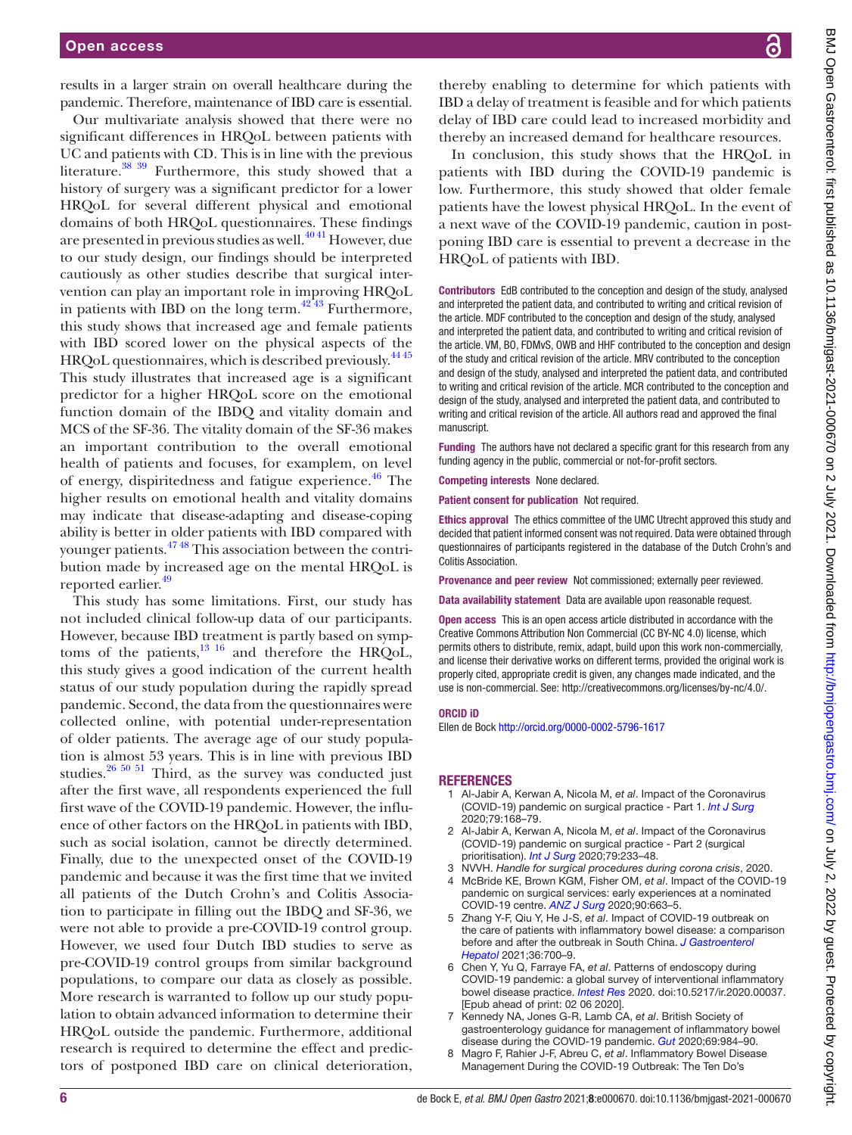results in a larger strain on overall healthcare during the pandemic. Therefore, maintenance of IBD care is essential.

Our multivariate analysis showed that there were no significant differences in HRQoL between patients with UC and patients with CD. This is in line with the previous literature. $38 \frac{39}{10}$  Furthermore, this study showed that a history of surgery was a significant predictor for a lower HRQoL for several different physical and emotional domains of both HRQoL questionnaires. These findings are presented in previous studies as well. $^{4041}$  However, due to our study design, our findings should be interpreted cautiously as other studies describe that surgical intervention can play an important role in improving HRQoL in patients with IBD on the long term[.42 43](#page-6-13) Furthermore, this study shows that increased age and female patients with IBD scored lower on the physical aspects of the HRQoL questionnaires, which is described previously.<sup>4445</sup> This study illustrates that increased age is a significant predictor for a higher HRQoL score on the emotional function domain of the IBDQ and vitality domain and MCS of the SF-36. The vitality domain of the SF-36 makes an important contribution to the overall emotional health of patients and focuses, for examplem, on level of energy, dispiritedness and fatigue experience.<sup>46</sup> The higher results on emotional health and vitality domains may indicate that disease-adapting and disease-coping ability is better in older patients with IBD compared with younger patients.[47 48](#page-6-16) This association between the contribution made by increased age on the mental HRQoL is reported earlier.<sup>49</sup>

This study has some limitations. First, our study has not included clinical follow-up data of our participants. However, because IBD treatment is partly based on symptoms of the patients, $13 \tcdot 16$  and therefore the HRQoL, this study gives a good indication of the current health status of our study population during the rapidly spread pandemic. Second, the data from the questionnaires were collected online, with potential under-representation of older patients. The average age of our study population is almost 53 years. This is in line with previous IBD studies. $26\,50\,51$  Third, as the survey was conducted just after the first wave, all respondents experienced the full first wave of the COVID-19 pandemic. However, the influence of other factors on the HRQoL in patients with IBD, such as social isolation, cannot be directly determined. Finally, due to the unexpected onset of the COVID-19 pandemic and because it was the first time that we invited all patients of the Dutch Crohn's and Colitis Association to participate in filling out the IBDQ and SF-36, we were not able to provide a pre-COVID-19 control group. However, we used four Dutch IBD studies to serve as pre-COVID-19 control groups from similar background populations, to compare our data as closely as possible. More research is warranted to follow up our study population to obtain advanced information to determine their HRQoL outside the pandemic. Furthermore, additional research is required to determine the effect and predictors of postponed IBD care on clinical deterioration,

thereby enabling to determine for which patients with IBD a delay of treatment is feasible and for which patients delay of IBD care could lead to increased morbidity and thereby an increased demand for healthcare resources.

In conclusion, this study shows that the HRQoL in patients with IBD during the COVID-19 pandemic is low. Furthermore, this study showed that older female patients have the lowest physical HRQoL. In the event of a next wave of the COVID-19 pandemic, caution in postponing IBD care is essential to prevent a decrease in the HRQoL of patients with IBD.

Contributors EdB contributed to the conception and design of the study, analysed and interpreted the patient data, and contributed to writing and critical revision of the article. MDF contributed to the conception and design of the study, analysed and interpreted the patient data, and contributed to writing and critical revision of the article. VM, BO, FDMvS, OWB and HHF contributed to the conception and design of the study and critical revision of the article. MRV contributed to the conception and design of the study, analysed and interpreted the patient data, and contributed to writing and critical revision of the article. MCR contributed to the conception and design of the study, analysed and interpreted the patient data, and contributed to writing and critical revision of the article. All authors read and approved the final manuscript.

Funding The authors have not declared a specific grant for this research from any funding agency in the public, commercial or not-for-profit sectors.

Competing interests None declared.

Patient consent for publication Not required.

Ethics approval The ethics committee of the UMC Utrecht approved this study and decided that patient informed consent was not required. Data were obtained through questionnaires of participants registered in the database of the Dutch Crohn's and Colitis Association.

Provenance and peer review Not commissioned; externally peer reviewed.

Data availability statement Data are available upon reasonable request.

Open access This is an open access article distributed in accordance with the Creative Commons Attribution Non Commercial (CC BY-NC 4.0) license, which permits others to distribute, remix, adapt, build upon this work non-commercially, and license their derivative works on different terms, provided the original work is properly cited, appropriate credit is given, any changes made indicated, and the use is non-commercial. See:<http://creativecommons.org/licenses/by-nc/4.0/>.

#### ORCID iD

Ellen de Bock <http://orcid.org/0000-0002-5796-1617>

#### REFERENCES

- <span id="page-5-0"></span>1 Al-Jabir A, Kerwan A, Nicola M, *et al*. Impact of the Coronavirus (COVID-19) pandemic on surgical practice - Part 1. *[Int J Surg](http://dx.doi.org/10.1016/j.ijsu.2020.05.022)* 2020;79:168–79.
- 2 Al-Jabir A, Kerwan A, Nicola M, *et al*. Impact of the Coronavirus (COVID-19) pandemic on surgical practice - Part 2 (surgical prioritisation). *[Int J Surg](http://dx.doi.org/10.1016/j.ijsu.2020.05.002)* 2020;79:233–48.
- 3 NVVH. *Handle for surgical procedures during corona crisis*, 2020.
- <span id="page-5-1"></span>4 McBride KE, Brown KGM, Fisher OM, *et al*. Impact of the COVID-19 pandemic on surgical services: early experiences at a nominated COVID-19 centre. *[ANZ J Surg](http://dx.doi.org/10.1111/ans.15900)* 2020;90:663–5.
- 5 Zhang Y-F, Qiu Y, He J-S, *et al*. Impact of COVID-19 outbreak on the care of patients with inflammatory bowel disease: a comparison before and after the outbreak in South China. *[J Gastroenterol](http://dx.doi.org/10.1111/jgh.15205)  [Hepatol](http://dx.doi.org/10.1111/jgh.15205)* 2021;36:700–9.
- 6 Chen Y, Yu Q, Farraye FA, *et al*. Patterns of endoscopy during COVID-19 pandemic: a global survey of interventional inflammatory bowel disease practice. *[Intest Res](http://dx.doi.org/10.5217/ir.2020.00037)* 2020. doi:10.5217/ir.2020.00037. [Epub ahead of print: 02 06 2020].
- <span id="page-5-2"></span>7 Kennedy NA, Jones G-R, Lamb CA, *et al*. British Society of gastroenterology guidance for management of inflammatory bowel disease during the COVID-19 pandemic. *[Gut](http://dx.doi.org/10.1136/gutjnl-2020-321244)* 2020;69:984–90.
- 8 Magro F, Rahier J-F, Abreu C, *et al*. Inflammatory Bowel Disease Management During the COVID-19 Outbreak: The Ten Do's